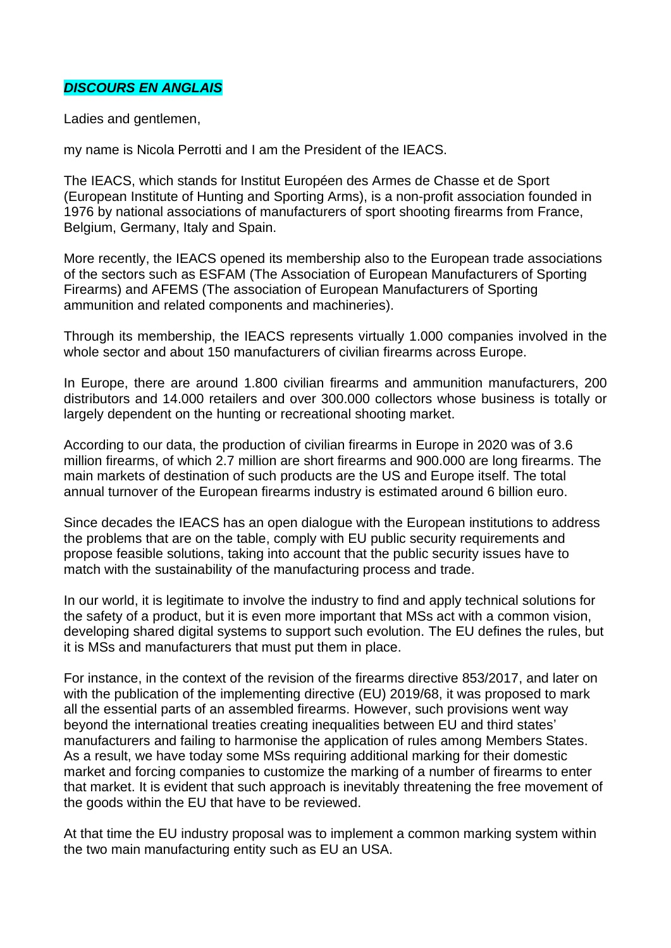## *DISCOURS EN ANGLAIS*

Ladies and gentlemen.

my name is Nicola Perrotti and I am the President of the IEACS.

The IEACS, which stands for Institut Européen des Armes de Chasse et de Sport (European Institute of Hunting and Sporting Arms), is a non-profit association founded in 1976 by national associations of manufacturers of sport shooting firearms from France, Belgium, Germany, Italy and Spain.

More recently, the IEACS opened its membership also to the European trade associations of the sectors such as ESFAM (The Association of European Manufacturers of Sporting Firearms) and AFEMS (The association of European Manufacturers of Sporting ammunition and related components and machineries).

Through its membership, the IEACS represents virtually 1.000 companies involved in the whole sector and about 150 manufacturers of civilian firearms across Europe.

In Europe, there are around 1.800 civilian firearms and ammunition manufacturers, 200 distributors and 14.000 retailers and over 300.000 collectors whose business is totally or largely dependent on the hunting or recreational shooting market.

According to our data, the production of civilian firearms in Europe in 2020 was of 3.6 million firearms, of which 2.7 million are short firearms and 900.000 are long firearms. The main markets of destination of such products are the US and Europe itself. The total annual turnover of the European firearms industry is estimated around 6 billion euro.

Since decades the IEACS has an open dialogue with the European institutions to address the problems that are on the table, comply with EU public security requirements and propose feasible solutions, taking into account that the public security issues have to match with the sustainability of the manufacturing process and trade.

In our world, it is legitimate to involve the industry to find and apply technical solutions for the safety of a product, but it is even more important that MSs act with a common vision, developing shared digital systems to support such evolution. The EU defines the rules, but it is MSs and manufacturers that must put them in place.

For instance, in the context of the revision of the firearms directive 853/2017, and later on with the publication of the implementing directive (EU) 2019/68, it was proposed to mark all the essential parts of an assembled firearms. However, such provisions went way beyond the international treaties creating inequalities between EU and third states' manufacturers and failing to harmonise the application of rules among Members States. As a result, we have today some MSs requiring additional marking for their domestic market and forcing companies to customize the marking of a number of firearms to enter that market. It is evident that such approach is inevitably threatening the free movement of the goods within the EU that have to be reviewed.

At that time the EU industry proposal was to implement a common marking system within the two main manufacturing entity such as EU an USA.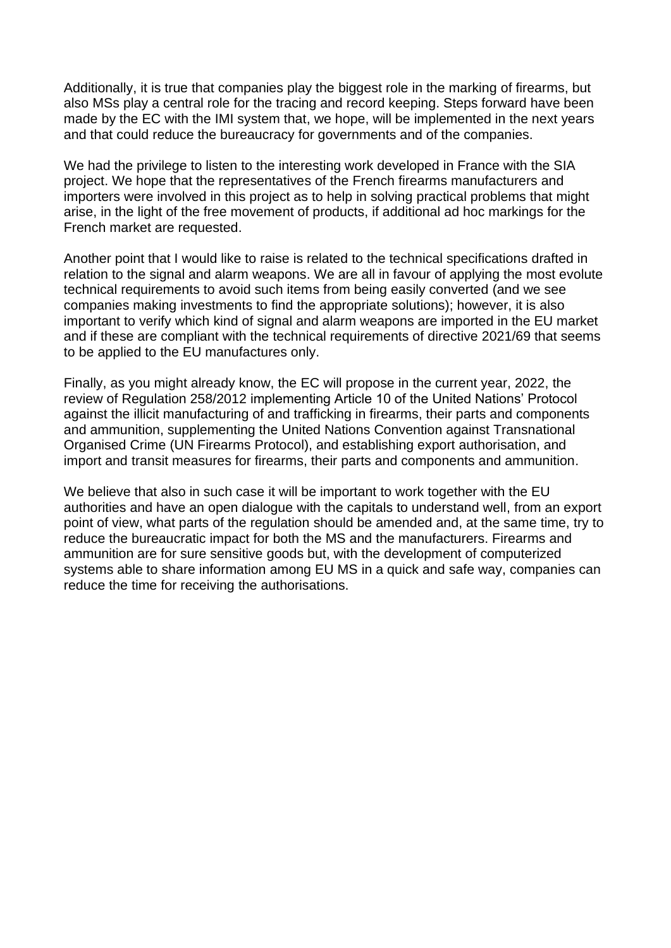Additionally, it is true that companies play the biggest role in the marking of firearms, but also MSs play a central role for the tracing and record keeping. Steps forward have been made by the EC with the IMI system that, we hope, will be implemented in the next years and that could reduce the bureaucracy for governments and of the companies.

We had the privilege to listen to the interesting work developed in France with the SIA project. We hope that the representatives of the French firearms manufacturers and importers were involved in this project as to help in solving practical problems that might arise, in the light of the free movement of products, if additional ad hoc markings for the French market are requested.

Another point that I would like to raise is related to the technical specifications drafted in relation to the signal and alarm weapons. We are all in favour of applying the most evolute technical requirements to avoid such items from being easily converted (and we see companies making investments to find the appropriate solutions); however, it is also important to verify which kind of signal and alarm weapons are imported in the EU market and if these are compliant with the technical requirements of directive 2021/69 that seems to be applied to the EU manufactures only.

Finally, as you might already know, the EC will propose in the current year, 2022, the review of Regulation 258/2012 implementing Article 10 of the United Nations' Protocol against the illicit manufacturing of and trafficking in firearms, their parts and components and ammunition, supplementing the United Nations Convention against Transnational Organised Crime (UN Firearms Protocol), and establishing export authorisation, and import and transit measures for firearms, their parts and components and ammunition.

We believe that also in such case it will be important to work together with the EU authorities and have an open dialogue with the capitals to understand well, from an export point of view, what parts of the regulation should be amended and, at the same time, try to reduce the bureaucratic impact for both the MS and the manufacturers. Firearms and ammunition are for sure sensitive goods but, with the development of computerized systems able to share information among EU MS in a quick and safe way, companies can reduce the time for receiving the authorisations.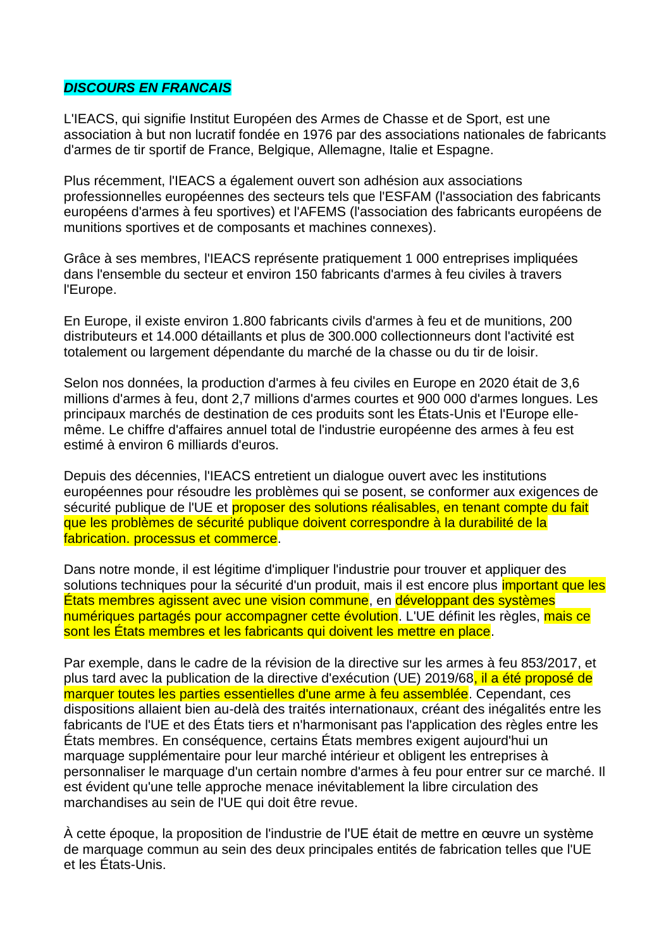## *DISCOURS EN FRANCAIS*

L'IEACS, qui signifie Institut Européen des Armes de Chasse et de Sport, est une association à but non lucratif fondée en 1976 par des associations nationales de fabricants d'armes de tir sportif de France, Belgique, Allemagne, Italie et Espagne.

Plus récemment, l'IEACS a également ouvert son adhésion aux associations professionnelles européennes des secteurs tels que l'ESFAM (l'association des fabricants européens d'armes à feu sportives) et l'AFEMS (l'association des fabricants européens de munitions sportives et de composants et machines connexes).

Grâce à ses membres, l'IEACS représente pratiquement 1 000 entreprises impliquées dans l'ensemble du secteur et environ 150 fabricants d'armes à feu civiles à travers l'Europe.

En Europe, il existe environ 1.800 fabricants civils d'armes à feu et de munitions, 200 distributeurs et 14.000 détaillants et plus de 300.000 collectionneurs dont l'activité est totalement ou largement dépendante du marché de la chasse ou du tir de loisir.

Selon nos données, la production d'armes à feu civiles en Europe en 2020 était de 3,6 millions d'armes à feu, dont 2,7 millions d'armes courtes et 900 000 d'armes longues. Les principaux marchés de destination de ces produits sont les États-Unis et l'Europe ellemême. Le chiffre d'affaires annuel total de l'industrie européenne des armes à feu est estimé à environ 6 milliards d'euros.

Depuis des décennies, l'IEACS entretient un dialogue ouvert avec les institutions européennes pour résoudre les problèmes qui se posent, se conformer aux exigences de sécurité publique de l'UE et proposer des solutions réalisables, en tenant compte du fait que les problèmes de sécurité publique doivent correspondre à la durabilité de la fabrication. processus et commerce.

Dans notre monde, il est légitime d'impliquer l'industrie pour trouver et appliquer des solutions techniques pour la sécurité d'un produit, mais il est encore plus *important que les* États membres agissent avec une vision commune, en développant des systèmes numériques partagés pour accompagner cette évolution. L'UE définit les règles, mais ce sont les États membres et les fabricants qui doivent les mettre en place.

Par exemple, dans le cadre de la révision de la directive sur les armes à feu 853/2017, et plus tard avec la publication de la directive d'exécution (UE) 2019/68, il a été proposé de marquer toutes les parties essentielles d'une arme à feu assemblée. Cependant, ces dispositions allaient bien au-delà des traités internationaux, créant des inégalités entre les fabricants de l'UE et des États tiers et n'harmonisant pas l'application des règles entre les États membres. En conséquence, certains États membres exigent aujourd'hui un marquage supplémentaire pour leur marché intérieur et obligent les entreprises à personnaliser le marquage d'un certain nombre d'armes à feu pour entrer sur ce marché. Il est évident qu'une telle approche menace inévitablement la libre circulation des marchandises au sein de l'UE qui doit être revue.

À cette époque, la proposition de l'industrie de l'UE était de mettre en œuvre un système de marquage commun au sein des deux principales entités de fabrication telles que l'UE et les États-Unis.